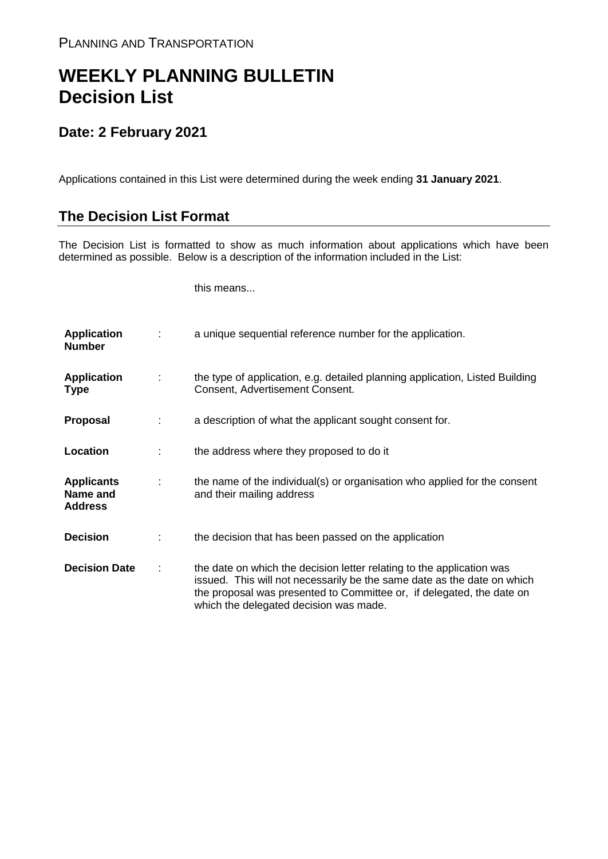## **WEEKLY PLANNING BULLETIN Decision List**

## **Date: 2 February 2021**

Applications contained in this List were determined during the week ending **31 January 2021**.

## **The Decision List Format**

The Decision List is formatted to show as much information about applications which have been determined as possible. Below is a description of the information included in the List:

this means...

| <b>Application</b><br><b>Number</b>             |   | a unique sequential reference number for the application.                                                                                                                                                                                                           |
|-------------------------------------------------|---|---------------------------------------------------------------------------------------------------------------------------------------------------------------------------------------------------------------------------------------------------------------------|
| <b>Application</b><br><b>Type</b>               | ÷ | the type of application, e.g. detailed planning application, Listed Building<br>Consent, Advertisement Consent.                                                                                                                                                     |
| <b>Proposal</b>                                 |   | a description of what the applicant sought consent for.                                                                                                                                                                                                             |
| Location                                        |   | the address where they proposed to do it                                                                                                                                                                                                                            |
| <b>Applicants</b><br>Name and<br><b>Address</b> | ÷ | the name of the individual(s) or organisation who applied for the consent<br>and their mailing address                                                                                                                                                              |
| <b>Decision</b>                                 |   | the decision that has been passed on the application                                                                                                                                                                                                                |
| <b>Decision Date</b>                            | ÷ | the date on which the decision letter relating to the application was<br>issued. This will not necessarily be the same date as the date on which<br>the proposal was presented to Committee or, if delegated, the date on<br>which the delegated decision was made. |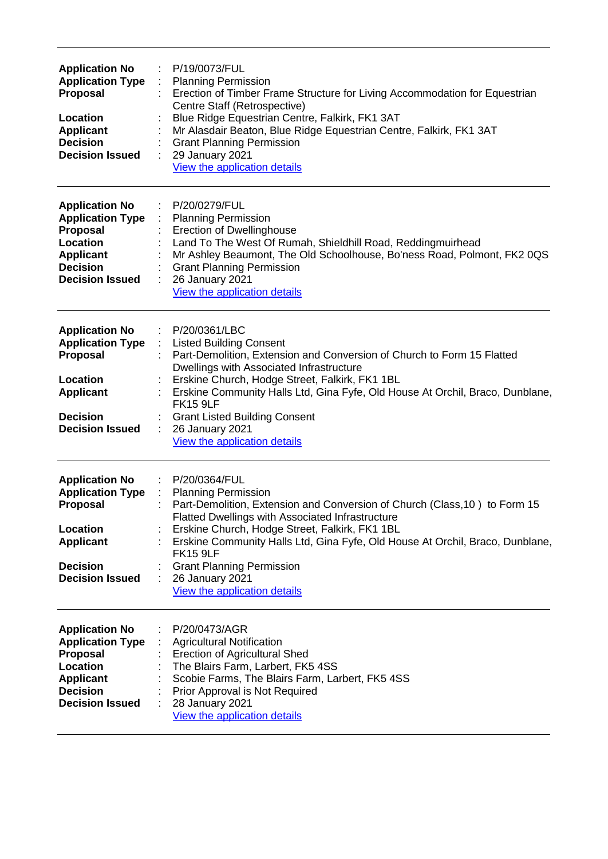| <b>Application No</b><br><b>Application Type</b><br><b>Proposal</b><br>Location<br><b>Applicant</b><br><b>Decision</b><br><b>Decision Issued</b> | P/19/0073/FUL<br><b>Planning Permission</b><br>Erection of Timber Frame Structure for Living Accommodation for Equestrian<br>Centre Staff (Retrospective)<br>Blue Ridge Equestrian Centre, Falkirk, FK1 3AT<br>Mr Alasdair Beaton, Blue Ridge Equestrian Centre, Falkirk, FK1 3AT<br><b>Grant Planning Permission</b><br>29 January 2021<br>View the application details                                                          |
|--------------------------------------------------------------------------------------------------------------------------------------------------|-----------------------------------------------------------------------------------------------------------------------------------------------------------------------------------------------------------------------------------------------------------------------------------------------------------------------------------------------------------------------------------------------------------------------------------|
| <b>Application No</b><br><b>Application Type</b><br>Proposal<br>Location<br><b>Applicant</b><br><b>Decision</b><br><b>Decision Issued</b>        | P/20/0279/FUL<br><b>Planning Permission</b><br><b>Erection of Dwellinghouse</b><br>Land To The West Of Rumah, Shieldhill Road, Reddingmuirhead<br>Mr Ashley Beaumont, The Old Schoolhouse, Bo'ness Road, Polmont, FK2 0QS<br><b>Grant Planning Permission</b><br>26 January 2021<br>View the application details                                                                                                                  |
| <b>Application No</b><br><b>Application Type</b><br><b>Proposal</b><br>Location<br><b>Applicant</b><br><b>Decision</b><br><b>Decision Issued</b> | P/20/0361/LBC<br><b>Listed Building Consent</b><br>Part-Demolition, Extension and Conversion of Church to Form 15 Flatted<br>Dwellings with Associated Infrastructure<br>Erskine Church, Hodge Street, Falkirk, FK1 1BL<br>Erskine Community Halls Ltd, Gina Fyfe, Old House At Orchil, Braco, Dunblane,<br><b>FK15 9LF</b><br><b>Grant Listed Building Consent</b><br>26 January 2021<br>View the application details            |
| <b>Application No</b><br><b>Application Type</b><br>Proposal<br>Location<br><b>Applicant</b><br><b>Decision</b><br><b>Decision Issued</b>        | P/20/0364/FUL<br>÷<br>: Planning Permission<br>Part-Demolition, Extension and Conversion of Church (Class, 10) to Form 15<br><b>Flatted Dwellings with Associated Infrastructure</b><br>Erskine Church, Hodge Street, Falkirk, FK1 1BL<br>Erskine Community Halls Ltd, Gina Fyfe, Old House At Orchil, Braco, Dunblane,<br><b>FK15 9LF</b><br><b>Grant Planning Permission</b><br>26 January 2021<br>View the application details |
| <b>Application No</b><br><b>Application Type</b><br><b>Proposal</b><br>Location<br><b>Applicant</b><br><b>Decision</b><br><b>Decision Issued</b> | P/20/0473/AGR<br><b>Agricultural Notification</b><br><b>Erection of Agricultural Shed</b><br>The Blairs Farm, Larbert, FK5 4SS<br>Scobie Farms, The Blairs Farm, Larbert, FK5 4SS<br>Prior Approval is Not Required<br>28 January 2021<br>View the application details                                                                                                                                                            |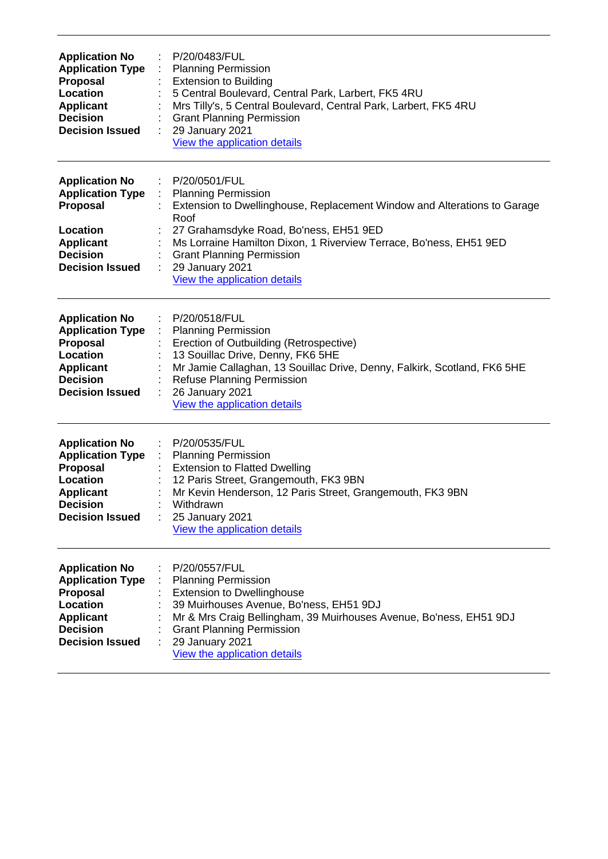| <b>Application No</b><br><b>Application Type</b><br>Proposal<br><b>Location</b><br><b>Applicant</b><br><b>Decision</b><br><b>Decision Issued</b> | P/20/0483/FUL<br><b>Planning Permission</b><br><b>Extension to Building</b><br>5 Central Boulevard, Central Park, Larbert, FK5 4RU<br>Mrs Tilly's, 5 Central Boulevard, Central Park, Larbert, FK5 4RU<br><b>Grant Planning Permission</b><br>29 January 2021<br>View the application details                                          |
|--------------------------------------------------------------------------------------------------------------------------------------------------|----------------------------------------------------------------------------------------------------------------------------------------------------------------------------------------------------------------------------------------------------------------------------------------------------------------------------------------|
| <b>Application No</b><br><b>Application Type</b><br><b>Proposal</b><br>Location<br><b>Applicant</b><br><b>Decision</b><br><b>Decision Issued</b> | P/20/0501/FUL<br><b>Planning Permission</b><br>Extension to Dwellinghouse, Replacement Window and Alterations to Garage<br>Roof<br>27 Grahamsdyke Road, Bo'ness, EH51 9ED<br>Ms Lorraine Hamilton Dixon, 1 Riverview Terrace, Bo'ness, EH51 9ED<br><b>Grant Planning Permission</b><br>29 January 2021<br>View the application details |
| <b>Application No</b><br><b>Application Type</b><br>Proposal<br>Location<br><b>Applicant</b><br><b>Decision</b><br><b>Decision Issued</b>        | P/20/0518/FUL<br><b>Planning Permission</b><br>Erection of Outbuilding (Retrospective)<br>13 Souillac Drive, Denny, FK6 5HE<br>Mr Jamie Callaghan, 13 Souillac Drive, Denny, Falkirk, Scotland, FK6 5HE<br><b>Refuse Planning Permission</b><br>26 January 2021<br>View the application details                                        |
| <b>Application No</b><br><b>Application Type</b><br>Proposal<br>Location<br><b>Applicant</b><br><b>Decision</b><br><b>Decision Issued</b>        | P/20/0535/FUL<br><b>Planning Permission</b><br><b>Extension to Flatted Dwelling</b><br>12 Paris Street, Grangemouth, FK3 9BN<br>Mr Kevin Henderson, 12 Paris Street, Grangemouth, FK3 9BN<br>Withdrawn<br>25 January 2021<br>View the application details                                                                              |
| <b>Application No</b><br><b>Application Type</b><br>Proposal<br>Location<br><b>Applicant</b><br><b>Decision</b><br><b>Decision Issued</b>        | P/20/0557/FUL<br><b>Planning Permission</b><br><b>Extension to Dwellinghouse</b><br>39 Muirhouses Avenue, Bo'ness, EH51 9DJ<br>Mr & Mrs Craig Bellingham, 39 Muirhouses Avenue, Bo'ness, EH51 9DJ<br><b>Grant Planning Permission</b><br>29 January 2021<br>View the application details                                               |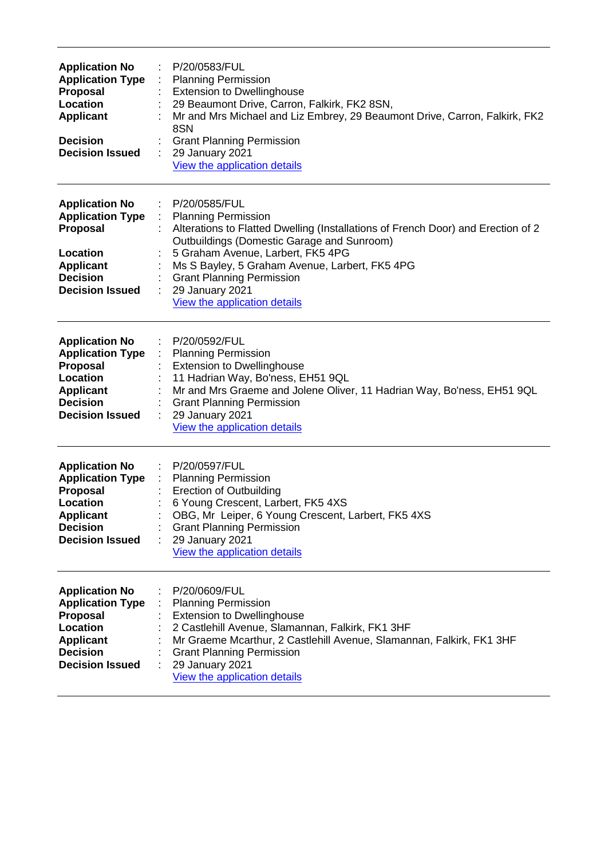| <b>Application No</b><br><b>Application Type</b><br>Proposal<br>Location<br><b>Applicant</b><br><b>Decision</b><br><b>Decision Issued</b>               | P/20/0583/FUL<br><b>Planning Permission</b><br><b>Extension to Dwellinghouse</b><br>29 Beaumont Drive, Carron, Falkirk, FK2 8SN,<br>Mr and Mrs Michael and Liz Embrey, 29 Beaumont Drive, Carron, Falkirk, FK2<br>8SN<br><b>Grant Planning Permission</b><br>29 January 2021<br>View the application details                                                |
|---------------------------------------------------------------------------------------------------------------------------------------------------------|-------------------------------------------------------------------------------------------------------------------------------------------------------------------------------------------------------------------------------------------------------------------------------------------------------------------------------------------------------------|
| <b>Application No</b><br><b>Application Type</b><br><b>Proposal</b><br>Location<br><b>Applicant</b><br><b>Decision</b><br><b>Decision Issued</b>        | P/20/0585/FUL<br><b>Planning Permission</b><br>Alterations to Flatted Dwelling (Installations of French Door) and Erection of 2<br>Outbuildings (Domestic Garage and Sunroom)<br>5 Graham Avenue, Larbert, FK5 4PG<br>Ms S Bayley, 5 Graham Avenue, Larbert, FK5 4PG<br><b>Grant Planning Permission</b><br>29 January 2021<br>View the application details |
| <b>Application No</b><br><b>Application Type</b><br><b>Proposal</b><br>Location<br><b>Applicant</b><br><b>Decision</b><br><b>Decision Issued</b>        | P/20/0592/FUL<br><b>Planning Permission</b><br><b>Extension to Dwellinghouse</b><br>11 Hadrian Way, Bo'ness, EH51 9QL<br>Mr and Mrs Graeme and Jolene Oliver, 11 Hadrian Way, Bo'ness, EH51 9QL<br><b>Grant Planning Permission</b><br>29 January 2021<br>View the application details                                                                      |
| <b>Application No</b><br><b>Application Type</b><br>Proposal<br>Location<br><b>Applicant</b><br><b>Decision</b><br><b>Decision Issued</b>               | P/20/0597/FUL<br><b>Planning Permission</b><br><b>Erection of Outbuilding</b><br>6 Young Crescent, Larbert, FK5 4XS<br>OBG, Mr Leiper, 6 Young Crescent, Larbert, FK5 4XS<br><b>Grant Planning Permission</b><br>29 January 2021<br>View the application details                                                                                            |
| <b>Application No</b><br><b>Application Type</b><br><b>Proposal</b><br><b>Location</b><br><b>Applicant</b><br><b>Decision</b><br><b>Decision Issued</b> | P/20/0609/FUL<br><b>Planning Permission</b><br><b>Extension to Dwellinghouse</b><br>2 Castlehill Avenue, Slamannan, Falkirk, FK1 3HF<br>Mr Graeme Mcarthur, 2 Castlehill Avenue, Slamannan, Falkirk, FK1 3HF<br><b>Grant Planning Permission</b><br>29 January 2021<br>View the application details                                                         |